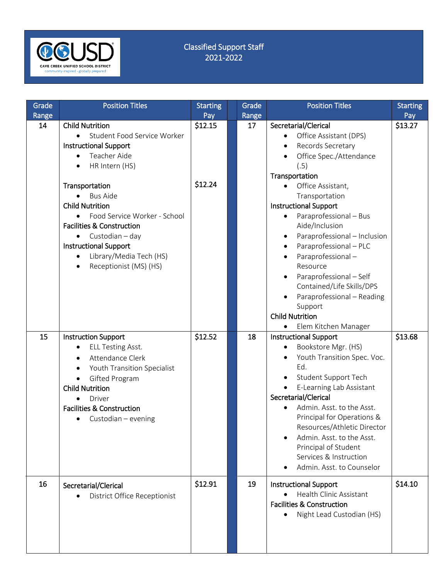

## Classified Support Staff 2021-2022

| Grade<br>Range | <b>Position Titles</b>                   | <b>Starting</b><br>Pay | Grade<br>Range | <b>Position Titles</b>                    | <b>Starting</b><br>Pay |
|----------------|------------------------------------------|------------------------|----------------|-------------------------------------------|------------------------|
| 14             | <b>Child Nutrition</b>                   | \$12.15                | 17             | Secretarial/Clerical                      | \$13.27                |
|                | Student Food Service Worker<br>$\bullet$ |                        |                | Office Assistant (DPS)                    |                        |
|                | <b>Instructional Support</b>             |                        |                | Records Secretary                         |                        |
|                | Teacher Aide                             |                        |                | Office Spec./Attendance                   |                        |
|                | HR Intern (HS)<br>$\bullet$              |                        |                | (.5)                                      |                        |
|                |                                          |                        |                | Transportation                            |                        |
|                | Transportation                           | \$12.24                |                | Office Assistant,                         |                        |
|                | <b>Bus Aide</b>                          |                        |                | Transportation                            |                        |
|                | <b>Child Nutrition</b>                   |                        |                | <b>Instructional Support</b>              |                        |
|                | Food Service Worker - School             |                        |                | Paraprofessional - Bus                    |                        |
|                | <b>Facilities &amp; Construction</b>     |                        |                | Aide/Inclusion                            |                        |
|                | Custodian - day<br>$\bullet$             |                        |                | Paraprofessional - Inclusion<br>$\bullet$ |                        |
|                | <b>Instructional Support</b>             |                        |                | Paraprofessional - PLC                    |                        |
|                | Library/Media Tech (HS)                  |                        |                | Paraprofessional-                         |                        |
|                | Receptionist (MS) (HS)<br>$\bullet$      |                        |                | Resource                                  |                        |
|                |                                          |                        |                | Paraprofessional - Self                   |                        |
|                |                                          |                        |                | Contained/Life Skills/DPS                 |                        |
|                |                                          |                        |                | Paraprofessional - Reading<br>$\bullet$   |                        |
|                |                                          |                        |                | Support                                   |                        |
|                |                                          |                        |                | <b>Child Nutrition</b>                    |                        |
|                |                                          |                        |                | Elem Kitchen Manager                      |                        |
| 15             | <b>Instruction Support</b>               | \$12.52                | 18             | <b>Instructional Support</b>              | \$13.68                |
|                | <b>ELL Testing Asst.</b>                 |                        |                | Bookstore Mgr. (HS)                       |                        |
|                | Attendance Clerk<br>$\bullet$            |                        |                | Youth Transition Spec. Voc.               |                        |
|                | Youth Transition Specialist<br>$\bullet$ |                        |                | Ed.                                       |                        |
|                | Gifted Program<br>$\bullet$              |                        |                | Student Support Tech                      |                        |
|                | <b>Child Nutrition</b>                   |                        |                | E-Learning Lab Assistant                  |                        |
|                | Driver                                   |                        |                | Secretarial/Clerical                      |                        |
|                | <b>Facilities &amp; Construction</b>     |                        |                | Admin. Asst. to the Asst.                 |                        |
|                | Custodian - evening                      |                        |                | Principal for Operations &                |                        |
|                |                                          |                        |                | Resources/Athletic Director               |                        |
|                |                                          |                        |                | Admin. Asst. to the Asst.                 |                        |
|                |                                          |                        |                | Principal of Student                      |                        |
|                |                                          |                        |                | Services & Instruction                    |                        |
|                |                                          |                        |                | Admin. Asst. to Counselor                 |                        |
| 16             |                                          | \$12.91                | 19             | <b>Instructional Support</b>              | \$14.10                |
|                | Secretarial/Clerical                     |                        |                | Health Clinic Assistant<br>$\bullet$      |                        |
|                | District Office Receptionist             |                        |                | <b>Facilities &amp; Construction</b>      |                        |
|                |                                          |                        |                | Night Lead Custodian (HS)                 |                        |
|                |                                          |                        |                |                                           |                        |
|                |                                          |                        |                |                                           |                        |
|                |                                          |                        |                |                                           |                        |
|                |                                          |                        |                |                                           |                        |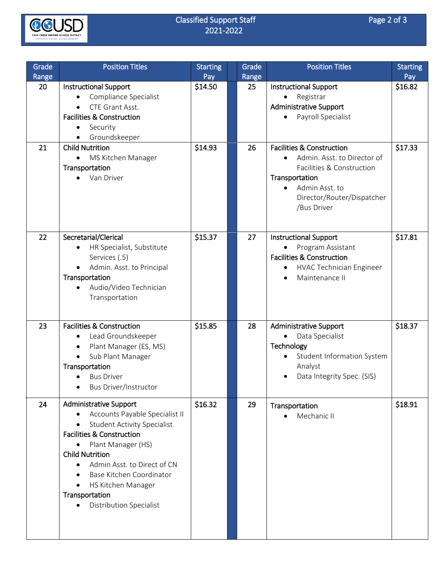

## Classified Support Staff Page 2 of 3<br>2021-2022 2021-2022

| Grade<br>Range | <b>Position Titles</b>                                                                                                                                                                                                                                                                                                                                                    | <b>Starting</b><br>Pay | Grade<br>Range | <b>Position Titles</b>                                                                                                                                                                         | <b>Starting</b><br>Pay |
|----------------|---------------------------------------------------------------------------------------------------------------------------------------------------------------------------------------------------------------------------------------------------------------------------------------------------------------------------------------------------------------------------|------------------------|----------------|------------------------------------------------------------------------------------------------------------------------------------------------------------------------------------------------|------------------------|
| 20             | <b>Instructional Support</b><br>Compliance Specialist<br>CTE Grant Asst.<br><b>Facilities &amp; Construction</b><br>Security<br>٠<br>Groundskeeper                                                                                                                                                                                                                        | \$14.50                | 25             | <b>Instructional Support</b><br>Registrar<br><b>Administrative Support</b><br>Payroll Specialist                                                                                               | \$16.82                |
| 21             | <b>Child Nutrition</b><br>MS Kitchen Manager<br>Transportation<br>Van Driver<br>$\bullet$                                                                                                                                                                                                                                                                                 | \$14.93                | 26             | <b>Facilities &amp; Construction</b><br>Admin. Asst. to Director of<br>Facilities & Construction<br>Transportation<br>Admin Asst. to<br>$\bullet$<br>Director/Router/Dispatcher<br>/Bus Driver | \$17.33                |
| 22             | Secretarial/Clerical<br>HR Specialist, Substitute<br>Services (.5)<br>Admin. Asst. to Principal<br>Transportation<br>Audio/Video Technician<br>Transportation                                                                                                                                                                                                             | \$15.37                | 27             | <b>Instructional Support</b><br>Program Assistant<br><b>Facilities &amp; Construction</b><br>HVAC Technician Engineer<br>Maintenance II                                                        | \$17.81                |
| 23             | <b>Facilities &amp; Construction</b><br>Lead Groundskeeper<br>$\bullet$<br>Plant Manager (ES, MS)<br>$\bullet$<br>Sub Plant Manager<br>$\bullet$<br>Transportation<br><b>Bus Driver</b><br>$\bullet$<br>Bus Driver/Instructor                                                                                                                                             | \$15.85                | 28             | <b>Administrative Support</b><br>Data Specialist<br>$\bullet$<br>Technology<br>Student Information System<br>Analyst<br>Data Integrity Spec. (SIS)                                             | \$18.37                |
| 24             | <b>Administrative Support</b><br>Accounts Payable Specialist II<br><b>Student Activity Specialist</b><br>$\bullet$<br><b>Facilities &amp; Construction</b><br>Plant Manager (HS)<br><b>Child Nutrition</b><br>Admin Asst. to Direct of CN<br>$\bullet$<br>Base Kitchen Coordinator<br>HS Kitchen Manager<br>$\bullet$<br>Transportation<br><b>Distribution Specialist</b> | \$16.32                | 29             | Transportation<br>Mechanic II                                                                                                                                                                  | \$18.91                |